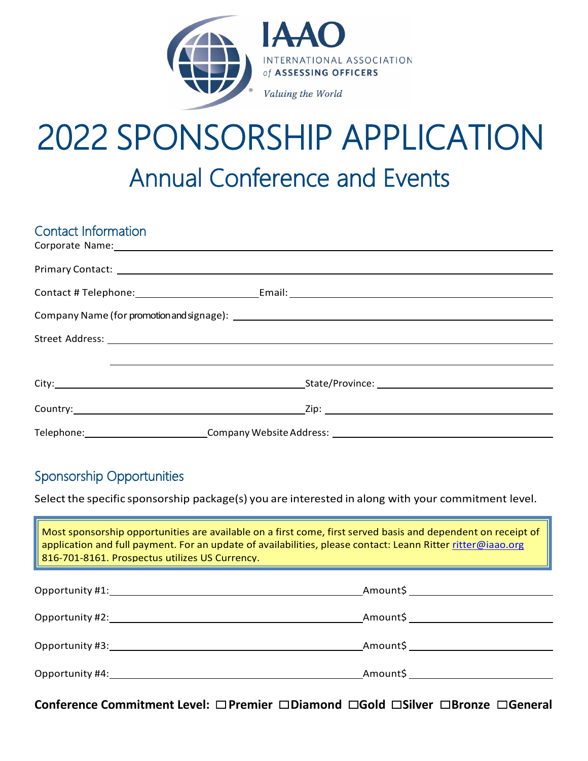

# 2022 SPONSORSHIP APPLICATION Annual Conference and Events

| <b>Contact Information</b> |                                                                                                                                                                                                                                |  |
|----------------------------|--------------------------------------------------------------------------------------------------------------------------------------------------------------------------------------------------------------------------------|--|
|                            | Corporate Name: 2008 Corporate Name: 2008 Corporate Name: 2008 Corporate Name: 2008 Corporate Name: 2008 Corporate Name: 2008 Corporate Name: 2008 Corporate Name: 2008 Corporate Name: 2008 Corporate Name: 2008 Corporate Na |  |
|                            |                                                                                                                                                                                                                                |  |
|                            |                                                                                                                                                                                                                                |  |
|                            |                                                                                                                                                                                                                                |  |
|                            |                                                                                                                                                                                                                                |  |
|                            |                                                                                                                                                                                                                                |  |
|                            | City: City: City: City: City: City: City: City: City: City: City: City: City: City: City: City: City: City: City: City: City: City: City: City: City: City: City: City: City: City: City: City: City: City: City: City: City:  |  |
|                            |                                                                                                                                                                                                                                |  |
|                            |                                                                                                                                                                                                                                |  |

## Sponsorship Opportunities

Select the specific sponsorship package(s) you are interested in along with your commitment level.

| Most sponsorship opportunities are available on a first come, first served basis and dependent on receipt of<br>application and full payment. For an update of availabilities, please contact: Leann Ritter ritter@iaao.org<br>816-701-8161. Prospectus utilizes US Currency. |                                                                                                                                                                                                                                 |
|-------------------------------------------------------------------------------------------------------------------------------------------------------------------------------------------------------------------------------------------------------------------------------|---------------------------------------------------------------------------------------------------------------------------------------------------------------------------------------------------------------------------------|
| Opportunity #1:                                                                                                                                                                                                                                                               | Amount\$ and the second second second second second second second second second second second second second second second second second second second second second second second second second second second second second sec |
| Opportunity #2: The contract of the contract of the contract of the contract of the contract of the contract of the contract of the contract of the contract of the contract of the contract of the contract of the contract o                                                | Amount\$ Provides the control of the control of the control of the control of the control of the control of the                                                                                                                 |
| Opportunity #3: New York Changes and The Changes                                                                                                                                                                                                                              | Amount\$                                                                                                                                                                                                                        |
| Opportunity #4: The contract of the contract of the contract of the contract of the contract of the contract o                                                                                                                                                                | Amount\$<br><u> 1980 - Jan Jawa Barat, pamping pangang panganggang panganggang panganggang panganggang panganggang panggang</u>                                                                                                 |

**Conference Commitment Level: □ Premier □ Diamond □ Gold □ Silver □ Bronze □ General**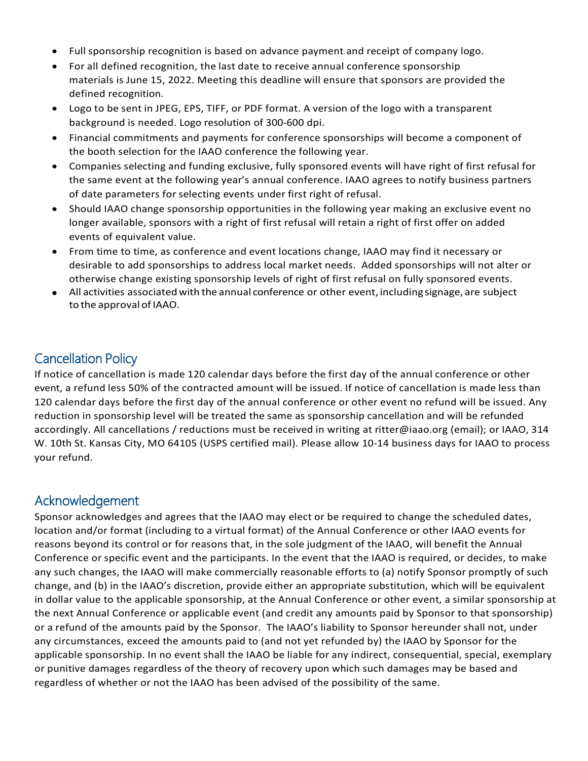- Full sponsorship recognition is based on advance payment and receipt of company logo.
- For all defined recognition, the last date to receive annual conference sponsorship materials is June 15, 2022. Meeting this deadline will ensure that sponsors are provided the defined recognition.
- Logo to be sent in JPEG, EPS, TIFF, or PDF format. A version of the logo with a transparent background is needed. Logo resolution of 300-600 dpi.
- Financial commitments and payments for conference sponsorships will become a component of the booth selection for the IAAO conference the following year.
- Companies selecting and funding exclusive, fully sponsored events will have right of first refusal for the same event at the following year's annual conference. IAAO agrees to notify business partners of date parameters for selecting events under first right of refusal.
- Should IAAO change sponsorship opportunities in the following year making an exclusive event no longer available, sponsors with a right of first refusal will retain a right of first offer on added events of equivalent value.
- From time to time, as conference and event locations change, IAAO may find it necessary or desirable to add sponsorships to address local market needs. Added sponsorships will not alter or otherwise change existing sponsorship levels of right of first refusal on fully sponsored events.
- All activities associatedwith the annual conference or other event, including signage, are subject to the approval of IAAO.

### Cancellation Policy

If notice of cancellation is made 120 calendar days before the first day of the annual conference or other event, a refund less 50% of the contracted amount will be issued. If notice of cancellation is made less than 120 calendar days before the first day of the annual conference or other event no refund will be issued. Any reduction in sponsorship level will be treated the same as sponsorship cancellation and will be refunded accordingly. All cancellations / reductions must be received in writing at [ritter@iaao.org](mailto:ritter@iaao.org) (email); or IAAO, 314 W. 10th St. Kansas City, MO 64105 (USPS certified mail). Please allow 10-14 business days for IAAO to process your refund.

#### Acknowledgement

Sponsor acknowledges and agrees that the IAAO may elect or be required to change the scheduled dates, location and/or format (including to a virtual format) of the Annual Conference or other IAAO events for reasons beyond its control or for reasons that, in the sole judgment of the IAAO, will benefit the Annual Conference or specific event and the participants. In the event that the IAAO is required, or decides, to make any such changes, the IAAO will make commercially reasonable efforts to (a) notify Sponsor promptly of such change, and (b) in the IAAO's discretion, provide either an appropriate substitution, which will be equivalent in dollar value to the applicable sponsorship, at the Annual Conference or other event, a similar sponsorship at the next Annual Conference or applicable event (and credit any amounts paid by Sponsor to that sponsorship) or a refund of the amounts paid by the Sponsor. The IAAO's liability to Sponsor hereunder shall not, under any circumstances, exceed the amounts paid to (and not yet refunded by) the IAAO by Sponsor for the applicable sponsorship. In no event shall the IAAO be liable for any indirect, consequential, special, exemplary or punitive damages regardless of the theory of recovery upon which such damages may be based and regardless of whether or not the IAAO has been advised of the possibility of the same.